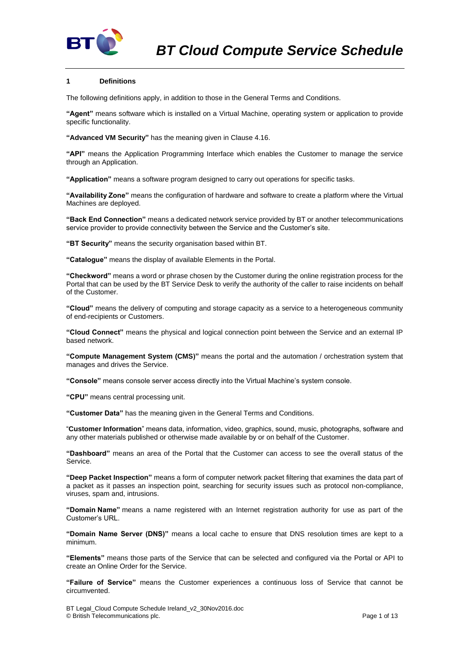

# **1 Definitions**

The following definitions apply, in addition to those in the General Terms and Conditions.

**"Agent"** means software which is installed on a Virtual Machine, operating system or application to provide specific functionality.

**"Advanced VM Security"** has the meaning given in Claus[e 4.16.](#page-5-0)

**"API"** means the Application Programming Interface which enables the Customer to manage the service through an Application.

**"Application"** means a software program designed to carry out operations for specific tasks.

**"Availability Zone"** means the configuration of hardware and software to create a platform where the Virtual Machines are deployed.

**"Back End Connection"** means a dedicated network service provided by BT or another telecommunications service provider to provide connectivity between the Service and the Customer's site.

**"BT Security"** means the security organisation based within BT.

**"Catalogue"** means the display of available Elements in the Portal.

**"Checkword"** means a word or phrase chosen by the Customer during the online registration process for the Portal that can be used by the BT Service Desk to verify the authority of the caller to raise incidents on behalf of the Customer.

**"Cloud"** means the delivery of computing and storage capacity as a service to a heterogeneous community of end-recipients or Customers.

**"Cloud Connect"** means the physical and logical connection point between the Service and an external IP based network.

**"Compute Management System (CMS)"** means the portal and the automation / orchestration system that manages and drives the Service.

**"Console"** means console server access directly into the Virtual Machine's system console.

**"CPU"** means central processing unit.

**"Customer Data"** has the meaning given in the General Terms and Conditions.

"**Customer Information**" means data, information, video, graphics, sound, music, photographs, software and any other materials published or otherwise made available by or on behalf of the Customer.

**"Dashboard"** means an area of the Portal that the Customer can access to see the overall status of the Service.

**"Deep Packet Inspection"** means a form of computer network packet filtering that examines the data part of a packet as it passes an inspection point, searching for security issues such as protocol non-compliance, viruses, spam and, intrusions.

**"Domain Name"** means a name registered with an Internet registration authority for use as part of the Customer's URL.

**"Domain Name Server (DNS)"** means a local cache to ensure that DNS resolution times are kept to a minimum.

**"Elements"** means those parts of the Service that can be selected and configured via the Portal or API to create an Online Order for the Service.

**"Failure of Service"** means the Customer experiences a continuous loss of Service that cannot be circumvented.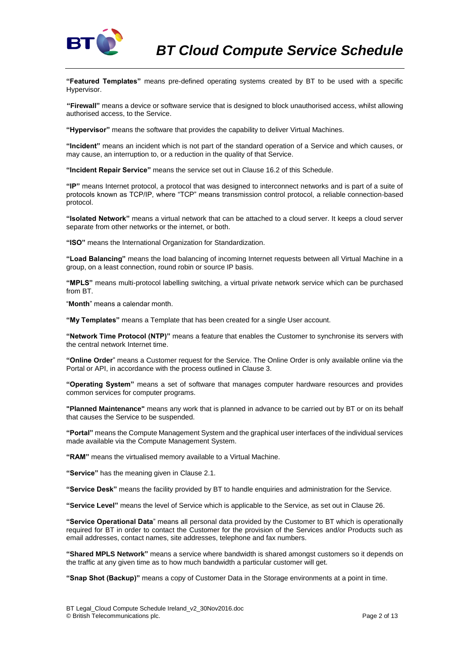

**"Featured Templates"** means pre-defined operating systems created by BT to be used with a specific Hypervisor.

**"Firewall"** means a device or software service that is designed to block unauthorised access, whilst allowing authorised access, to the Service.

**"Hypervisor"** means the software that provides the capability to deliver Virtual Machines.

**"Incident"** means an incident which is not part of the standard operation of a Service and which causes, or may cause, an interruption to, or a reduction in the quality of that Service.

**"Incident Repair Service"** means the service set out in Clause [16.2](#page-7-0) of this Schedule.

**"IP"** means Internet protocol, a protocol that was designed to interconnect networks and is part of a suite of protocols known as TCP/IP, where "TCP" means transmission control protocol, a reliable connection-based protocol.

**"Isolated Network"** means a virtual network that can be attached to a cloud server. It keeps a cloud server separate from other networks or the internet, or both.

**"ISO"** means the International Organization for Standardization.

**"Load Balancing"** means the load balancing of incoming Internet requests between all Virtual Machine in a group, on a least connection, round robin or source IP basis.

**"MPLS"** means multi-protocol labelling switching, a virtual private network service which can be purchased from BT.

"**Month**" means a calendar month.

**"My Templates"** means a Template that has been created for a single User account.

**"Network Time Protocol (NTP)"** means a feature that enables the Customer to synchronise its servers with the central network Internet time.

**"Online Order**" means a Customer request for the Service. The Online Order is only available online via the Portal or API, in accordance with the process outlined in Clause [3.](#page-2-0)

**"Operating System"** means a set of software that manages computer hardware resources and provides common services for computer programs.

**"Planned Maintenance"** means any work that is planned in advance to be carried out by BT or on its behalf that causes the Service to be suspended.

**"Portal"** means the Compute Management System and the graphical user interfaces of the individual services made available via the Compute Management System.

**"RAM"** means the virtualised memory available to a Virtual Machine.

**"Service"** has the meaning given in Claus[e 2.1.](#page-2-1)

**"Service Desk"** means the facility provided by BT to handle enquiries and administration for the Service.

**"Service Level"** means the level of Service which is applicable to the Service, as set out in Clause [26.](#page-11-0)

**"Service Operational Data**" means all personal data provided by the Customer to BT which is operationally required for BT in order to contact the Customer for the provision of the Services and/or Products such as email addresses, contact names, site addresses, telephone and fax numbers.

**"Shared MPLS Network"** means a service where bandwidth is shared amongst customers so it depends on the traffic at any given time as to how much bandwidth a particular customer will get.

**"Snap Shot (Backup)"** means a copy of Customer Data in the Storage environments at a point in time.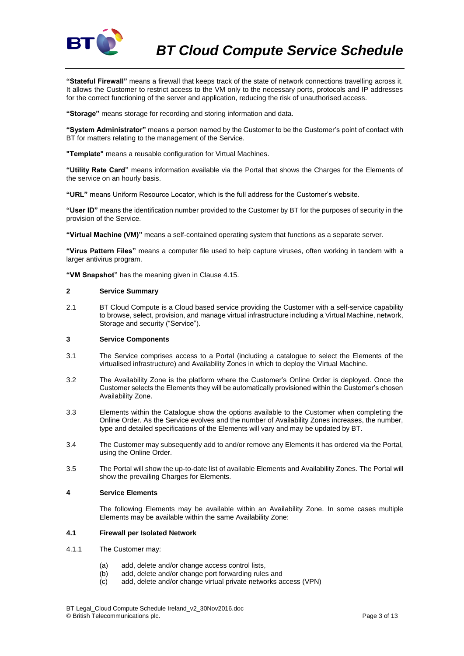

**"Stateful Firewall"** means a firewall that keeps track of the state of network connections travelling across it. It allows the Customer to restrict access to the VM only to the necessary ports, protocols and IP addresses for the correct functioning of the server and application, reducing the risk of unauthorised access.

**"Storage"** means storage for recording and storing information and data.

**"System Administrator"** means a person named by the Customer to be the Customer's point of contact with BT for matters relating to the management of the Service.

**"Template"** means a reusable configuration for Virtual Machines.

**"Utility Rate Card"** means information available via the Portal that shows the Charges for the Elements of the service on an hourly basis.

**"URL"** means Uniform Resource Locator, which is the full address for the Customer's website.

**"User ID"** means the identification number provided to the Customer by BT for the purposes of security in the provision of the Service.

**"Virtual Machine (VM)"** means a self-contained operating system that functions as a separate server.

**"Virus Pattern Files"** means a computer file used to help capture viruses, often working in tandem with a larger antivirus program.

**"VM Snapshot"** has the meaning given in Claus[e 4.15.](#page-5-1)

## **2 Service Summary**

<span id="page-2-1"></span>2.1 BT Cloud Compute is a Cloud based service providing the Customer with a self-service capability to browse, select, provision, and manage virtual infrastructure including a Virtual Machine, network, Storage and security ("Service").

# <span id="page-2-0"></span>**3 Service Components**

- 3.1 The Service comprises access to a Portal (including a catalogue to select the Elements of the virtualised infrastructure) and Availability Zones in which to deploy the Virtual Machine.
- 3.2 The Availability Zone is the platform where the Customer's Online Order is deployed. Once the Customer selects the Elements they will be automatically provisioned within the Customer's chosen Availability Zone.
- 3.3 Elements within the Catalogue show the options available to the Customer when completing the Online Order. As the Service evolves and the number of Availability Zones increases, the number, type and detailed specifications of the Elements will vary and may be updated by BT.
- 3.4 The Customer may subsequently add to and/or remove any Elements it has ordered via the Portal, using the Online Order.
- 3.5 The Portal will show the up-to-date list of available Elements and Availability Zones. The Portal will show the prevailing Charges for Elements.

## **4 Service Elements**

The following Elements may be available within an Availability Zone. In some cases multiple Elements may be available within the same Availability Zone:

### **4.1 Firewall per Isolated Network**

- 4.1.1 The Customer may:
	- (a) add, delete and/or change access control lists,
	- (b) add, delete and/or change port forwarding rules and
	- (c) add, delete and/or change virtual private networks access (VPN)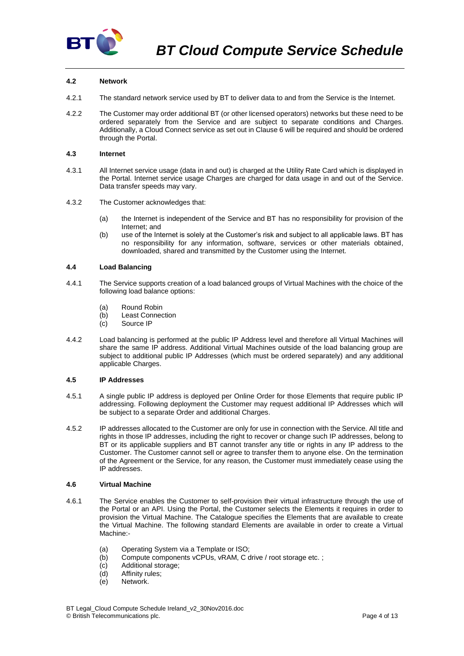

# **4.2 Network**

- 4.2.1 The standard network service used by BT to deliver data to and from the Service is the Internet.
- 4.2.2 The Customer may order additional BT (or other licensed operators) networks but these need to be ordered separately from the Service and are subject to separate conditions and Charges. Additionally, a Cloud Connect service as set out in Claus[e 6](#page-6-0) will be required and should be ordered through the Portal.

## **4.3 Internet**

- 4.3.1 All Internet service usage (data in and out) is charged at the Utility Rate Card which is displayed in the Portal. Internet service usage Charges are charged for data usage in and out of the Service. Data transfer speeds may vary.
- 4.3.2 The Customer acknowledges that:
	- (a) the Internet is independent of the Service and BT has no responsibility for provision of the Internet; and
	- (b) use of the Internet is solely at the Customer's risk and subject to all applicable laws. BT has no responsibility for any information, software, services or other materials obtained, downloaded, shared and transmitted by the Customer using the Internet.

# **4.4 Load Balancing**

- 4.4.1 The Service supports creation of a load balanced groups of Virtual Machines with the choice of the following load balance options:
	- (a) Round Robin
	- (b) Least Connection
	- (c) Source IP
- 4.4.2 Load balancing is performed at the public IP Address level and therefore all Virtual Machines will share the same IP address. Additional Virtual Machines outside of the load balancing group are subject to additional public IP Addresses (which must be ordered separately) and any additional applicable Charges.

# **4.5 IP Addresses**

- 4.5.1 A single public IP address is deployed per Online Order for those Elements that require public IP addressing. Following deployment the Customer may request additional IP Addresses which will be subject to a separate Order and additional Charges.
- 4.5.2 IP addresses allocated to the Customer are only for use in connection with the Service. All title and rights in those IP addresses, including the right to recover or change such IP addresses, belong to BT or its applicable suppliers and BT cannot transfer any title or rights in any IP address to the Customer. The Customer cannot sell or agree to transfer them to anyone else. On the termination of the Agreement or the Service, for any reason, the Customer must immediately cease using the IP addresses.

# **4.6 Virtual Machine**

- 4.6.1 The Service enables the Customer to self-provision their virtual infrastructure through the use of the Portal or an API. Using the Portal, the Customer selects the Elements it requires in order to provision the Virtual Machine. The Catalogue specifies the Elements that are available to create the Virtual Machine. The following standard Elements are available in order to create a Virtual Machine:-
	- (a) Operating System via a Template or ISO;
	- (b) Compute components vCPUs, vRAM, C drive / root storage etc. ;
	- (c) Additional storage;
	- (d) Affinity rules;
	- (e) Network.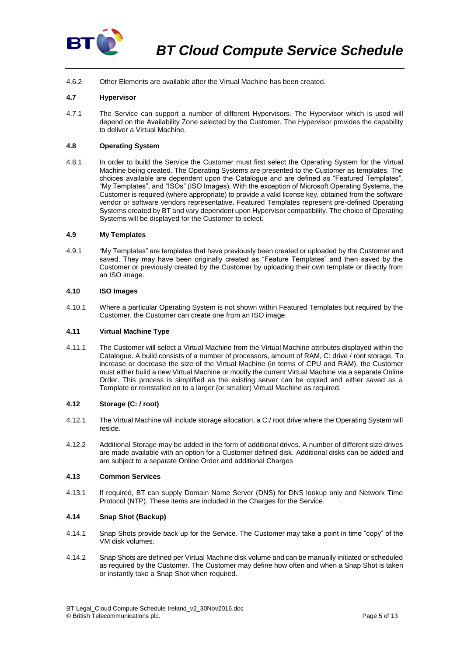

4.6.2 Other Elements are available after the Virtual Machine has been created.

# **4.7 Hypervisor**

4.7.1 The Service can support a number of different Hypervisors. The Hypervisor which is used will depend on the Availability Zone selected by the Customer. The Hypervisor provides the capability to deliver a Virtual Machine.

# **4.8 Operating System**

4.8.1 In order to build the Service the Customer must first select the Operating System for the Virtual Machine being created. The Operating Systems are presented to the Customer as templates. The choices available are dependent upon the Catalogue and are defined as "Featured Templates", "My Templates", and "ISOs" (ISO Images). With the exception of Microsoft Operating Systems, the Customer is required (where appropriate) to provide a valid license key, obtained from the software vendor or software vendors representative. Featured Templates represent pre-defined Operating Systems created by BT and vary dependent upon Hypervisor compatibility. The choice of Operating Systems will be displayed for the Customer to select.

# **4.9 My Templates**

4.9.1 "My Templates" are templates that have previously been created or uploaded by the Customer and saved. They may have been originally created as "Feature Templates" and then saved by the Customer or previously created by the Customer by uploading their own template or directly from an ISO image.

# **4.10 ISO Images**

4.10.1 Where a particular Operating System is not shown within Featured Templates but required by the Customer, the Customer can create one from an ISO image.

## **4.11 Virtual Machine Type**

4.11.1 The Customer will select a Virtual Machine from the Virtual Machine attributes displayed within the Catalogue. A build consists of a number of processors, amount of RAM, C: drive / root storage. To increase or decrease the size of the Virtual Machine (in terms of CPU and RAM), the Customer must either build a new Virtual Machine or modify the current Virtual Machine via a separate Online Order. This process is simplified as the existing server can be copied and either saved as a Template or reinstalled on to a larger (or smaller) Virtual Machine as required.

# **4.12 Storage (C: / root)**

- 4.12.1 The Virtual Machine will include storage allocation, a C:/ root drive where the Operating System will reside.
- 4.12.2 Additional Storage may be added in the form of additional drives. A number of different size drives are made available with an option for a Customer defined disk. Additional disks can be added and are subject to a separate Online Order and additional Charges

# **4.13 Common Services**

4.13.1 If required, BT can supply Domain Name Server (DNS) for DNS lookup only and Network Time Protocol (NTP). These items are included in the Charges for the Service.

# **4.14 Snap Shot (Backup)**

- 4.14.1 Snap Shots provide back up for the Service. The Customer may take a point in time "copy" of the VM disk volumes.
- 4.14.2 Snap Shots are defined per Virtual Machine disk volume and can be manually initiated or scheduled as required by the Customer. The Customer may define how often and when a Snap Shot is taken or instantly take a Snap Shot when required.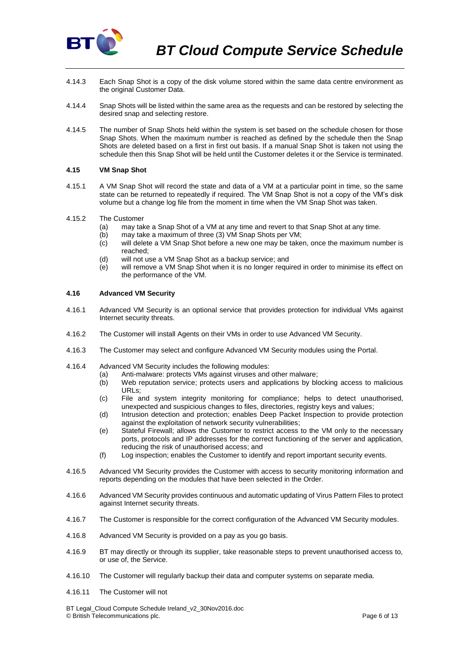

- 4.14.3 Each Snap Shot is a copy of the disk volume stored within the same data centre environment as the original Customer Data.
- 4.14.4 Snap Shots will be listed within the same area as the requests and can be restored by selecting the desired snap and selecting restore.
- 4.14.5 The number of Snap Shots held within the system is set based on the schedule chosen for those Snap Shots. When the maximum number is reached as defined by the schedule then the Snap Shots are deleted based on a first in first out basis. If a manual Snap Shot is taken not using the schedule then this Snap Shot will be held until the Customer deletes it or the Service is terminated.

# <span id="page-5-1"></span>**4.15 VM Snap Shot**

- 4.15.1 A VM Snap Shot will record the state and data of a VM at a particular point in time, so the same state can be returned to repeatedly if required. The VM Snap Shot is not a copy of the VM's disk volume but a change log file from the moment in time when the VM Snap Shot was taken.
- 4.15.2 The Customer
	- (a) may take a Snap Shot of a VM at any time and revert to that Snap Shot at any time.
	- (b) may take a maximum of three (3) VM Snap Shots per VM;
	- (c) will delete a VM Snap Shot before a new one may be taken, once the maximum number is reached;
	- (d) will not use a VM Snap Shot as a backup service; and
	- (e) will remove a VM Snap Shot when it is no longer required in order to minimise its effect on the performance of the VM.

# <span id="page-5-0"></span>**4.16 Advanced VM Security**

- 4.16.1 Advanced VM Security is an optional service that provides protection for individual VMs against Internet security threats.
- 4.16.2 The Customer will install Agents on their VMs in order to use Advanced VM Security.
- 4.16.3 The Customer may select and configure Advanced VM Security modules using the Portal.
- 4.16.4 Advanced VM Security includes the following modules:
	- (a) Anti-malware: protects VMs against viruses and other malware;
	- (b) Web reputation service; protects users and applications by blocking access to malicious URLs;
	- (c) File and system integrity monitoring for compliance; helps to detect unauthorised, unexpected and suspicious changes to files, directories, registry keys and values;
	- (d) Intrusion detection and protection; enables Deep Packet Inspection to provide protection against the exploitation of network security vulnerabilities;
	- (e) Stateful Firewall; allows the Customer to restrict access to the VM only to the necessary ports, protocols and IP addresses for the correct functioning of the server and application, reducing the risk of unauthorised access; and
	- (f) Log inspection; enables the Customer to identify and report important security events.
- 4.16.5 Advanced VM Security provides the Customer with access to security monitoring information and reports depending on the modules that have been selected in the Order.
- 4.16.6 Advanced VM Security provides continuous and automatic updating of Virus Pattern Files to protect against Internet security threats.
- 4.16.7 The Customer is responsible for the correct configuration of the Advanced VM Security modules.
- 4.16.8 Advanced VM Security is provided on a pay as you go basis.
- 4.16.9 BT may directly or through its supplier, take reasonable steps to prevent unauthorised access to, or use of, the Service.
- 4.16.10 The Customer will regularly backup their data and computer systems on separate media.
- <span id="page-5-2"></span>4.16.11 The Customer will not

BT Legal\_Cloud Compute Schedule Ireland\_v2\_30Nov2016.doc © British Telecommunications plc. Page 6 of 13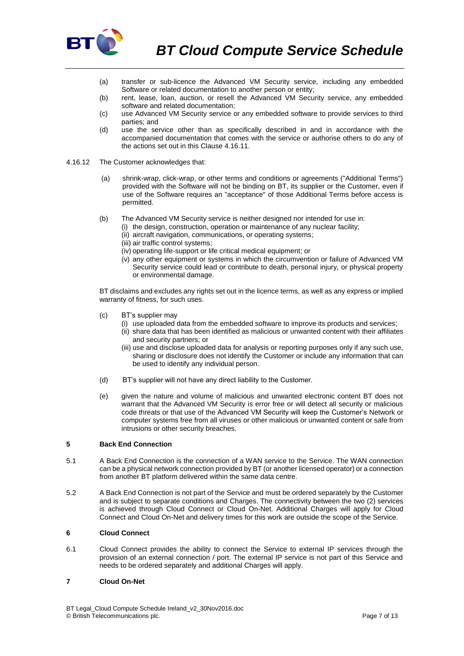

- (a) transfer or sub-licence the Advanced VM Security service, including any embedded Software or related documentation to another person or entity;
- (b) rent, lease, loan, auction, or resell the Advanced VM Security service, any embedded software and related documentation;
- (c) use Advanced VM Security service or any embedded software to provide services to third parties; and
- (d) use the service other than as specifically described in and in accordance with the accompanied documentation that comes with the service or authorise others to do any of the actions set out in this Clause [4.16.11.](#page-5-2)
- 4.16.12 The Customer acknowledges that:
	- (a) shrink-wrap, click-wrap, or other terms and conditions or agreements ("Additional Terms") provided with the Software will not be binding on BT, its supplier or the Customer, even if use of the Software requires an "acceptance" of those Additional Terms before access is permitted.
	- (b) The Advanced VM Security service is neither designed nor intended for use in:
		- (i) the design, construction, operation or maintenance of any nuclear facility;
			- (ii) aircraft navigation, communications, or operating systems;
			- (iii) air traffic control systems;
			- (iv) operating life-support or life critical medical equipment; or
			- (v) any other equipment or systems in which the circumvention or failure of Advanced VM Security service could lead or contribute to death, personal injury, or physical property or environmental damage.

BT disclaims and excludes any rights set out in the licence terms, as well as any express or implied warranty of fitness, for such uses.

- (c) BT's supplier may
	- (i) use uploaded data from the embedded software to improve its products and services;
		- (ii) share data that has been identified as malicious or unwanted content with their affiliates and security partners; or
		- (iii) use and disclose uploaded data for analysis or reporting purposes only if any such use, sharing or disclosure does not identify the Customer or include any information that can be used to identify any individual person.
- (d) BT's supplier will not have any direct liability to the Customer.
- (e) given the nature and volume of malicious and unwanted electronic content BT does not warrant that the Advanced VM Security is error free or will detect all security or malicious code threats or that use of the Advanced VM Security will keep the Customer's Network or computer systems free from all viruses or other malicious or unwanted content or safe from intrusions or other security breaches.

#### **5 Back End Connection**

- 5.1 A Back End Connection is the connection of a WAN service to the Service. The WAN connection can be a physical network connection provided by BT (or another licensed operator) or a connection from another BT platform delivered within the same data centre.
- 5.2 A Back End Connection is not part of the Service and must be ordered separately by the Customer and is subject to separate conditions and Charges. The connectivity between the two (2) services is achieved through Cloud Connect or Cloud On-Net. Additional Charges will apply for Cloud Connect and Cloud On-Net and delivery times for this work are outside the scope of the Service.

# <span id="page-6-0"></span>**6 Cloud Connect**

6.1 Cloud Connect provides the ability to connect the Service to external IP services through the provision of an external connection / port. The external IP service is not part of this Service and needs to be ordered separately and additional Charges will apply.

# **7 Cloud On-Net**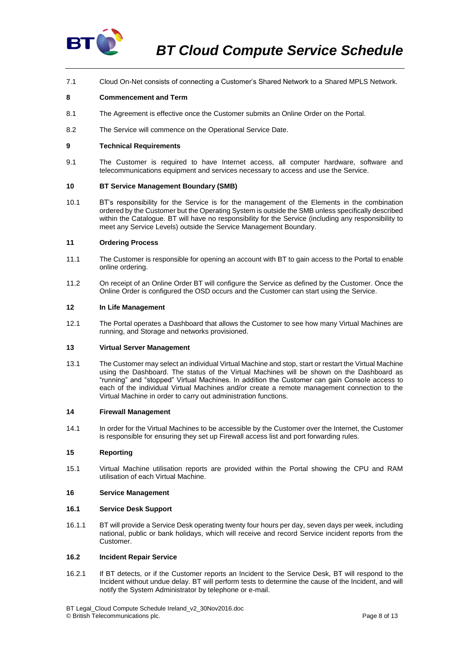

7.1 Cloud On-Net consists of connecting a Customer's Shared Network to a Shared MPLS Network.

# **8 Commencement and Term**

- 8.1 The Agreement is effective once the Customer submits an Online Order on the Portal.
- 8.2 The Service will commence on the Operational Service Date.

## **9 Technical Requirements**

9.1 The Customer is required to have Internet access, all computer hardware, software and telecommunications equipment and services necessary to access and use the Service.

## **10 BT Service Management Boundary (SMB)**

10.1 BT's responsibility for the Service is for the management of the Elements in the combination ordered by the Customer but the Operating System is outside the SMB unless specifically described within the Catalogue. BT will have no responsibility for the Service (including any responsibility to meet any Service Levels) outside the Service Management Boundary.

### **11 Ordering Process**

- 11.1 The Customer is responsible for opening an account with BT to gain access to the Portal to enable online ordering.
- 11.2 On receipt of an Online Order BT will configure the Service as defined by the Customer. Once the Online Order is configured the OSD occurs and the Customer can start using the Service.

#### **12 In Life Management**

12.1 The Portal operates a Dashboard that allows the Customer to see how many Virtual Machines are running, and Storage and networks provisioned.

## **13 Virtual Server Management**

13.1 The Customer may select an individual Virtual Machine and stop, start or restart the Virtual Machine using the Dashboard. The status of the Virtual Machines will be shown on the Dashboard as "running" and "stopped" Virtual Machines. In addition the Customer can gain Console access to each of the individual Virtual Machines and/or create a remote management connection to the Virtual Machine in order to carry out administration functions.

#### **14 Firewall Management**

14.1 In order for the Virtual Machines to be accessible by the Customer over the Internet, the Customer is responsible for ensuring they set up Firewall access list and port forwarding rules.

#### **15 Reporting**

15.1 Virtual Machine utilisation reports are provided within the Portal showing the CPU and RAM utilisation of each Virtual Machine.

### **16 Service Management**

### **16.1 Service Desk Support**

16.1.1 BT will provide a Service Desk operating twenty four hours per day, seven days per week, including national, public or bank holidays, which will receive and record Service incident reports from the Customer.

#### <span id="page-7-0"></span>**16.2 Incident Repair Service**

16.2.1 If BT detects, or if the Customer reports an Incident to the Service Desk, BT will respond to the Incident without undue delay. BT will perform tests to determine the cause of the Incident, and will notify the System Administrator by telephone or e-mail.

BT Legal\_Cloud Compute Schedule Ireland\_v2\_30Nov2016.doc © British Telecommunications plc. Page 8 of 13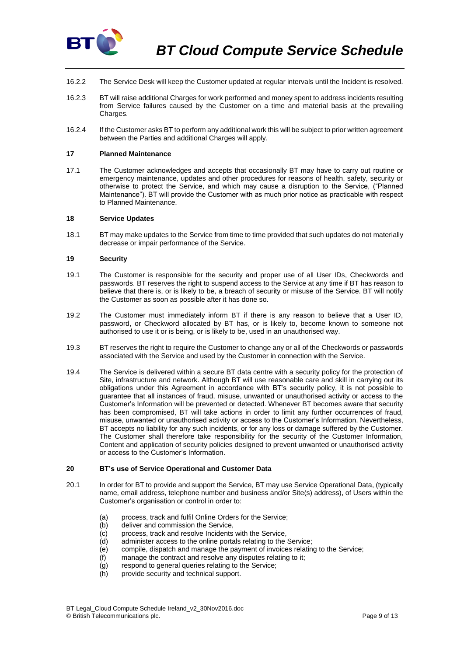

- 16.2.2 The Service Desk will keep the Customer updated at regular intervals until the Incident is resolved.
- 16.2.3 BT will raise additional Charges for work performed and money spent to address incidents resulting from Service failures caused by the Customer on a time and material basis at the prevailing Charges.
- 16.2.4 If the Customer asks BT to perform any additional work this will be subject to prior written agreement between the Parties and additional Charges will apply.

#### **17 Planned Maintenance**

17.1 The Customer acknowledges and accepts that occasionally BT may have to carry out routine or emergency maintenance, updates and other procedures for reasons of health, safety, security or otherwise to protect the Service, and which may cause a disruption to the Service, ("Planned Maintenance"). BT will provide the Customer with as much prior notice as practicable with respect to Planned Maintenance.

#### **18 Service Updates**

18.1 BT may make updates to the Service from time to time provided that such updates do not materially decrease or impair performance of the Service.

#### **19 Security**

- 19.1 The Customer is responsible for the security and proper use of all User IDs, Checkwords and passwords. BT reserves the right to suspend access to the Service at any time if BT has reason to believe that there is, or is likely to be, a breach of security or misuse of the Service. BT will notify the Customer as soon as possible after it has done so.
- 19.2 The Customer must immediately inform BT if there is any reason to believe that a User ID, password, or Checkword allocated by BT has, or is likely to, become known to someone not authorised to use it or is being, or is likely to be, used in an unauthorised way.
- 19.3 BT reserves the right to require the Customer to change any or all of the Checkwords or passwords associated with the Service and used by the Customer in connection with the Service.
- 19.4 The Service is delivered within a secure BT data centre with a security policy for the protection of Site, infrastructure and network. Although BT will use reasonable care and skill in carrying out its obligations under this Agreement in accordance with BT's security policy, it is not possible to guarantee that all instances of fraud, misuse, unwanted or unauthorised activity or access to the Customer's Information will be prevented or detected. Whenever BT becomes aware that security has been compromised, BT will take actions in order to limit any further occurrences of fraud, misuse, unwanted or unauthorised activity or access to the Customer's Information. Nevertheless, BT accepts no liability for any such incidents, or for any loss or damage suffered by the Customer. The Customer shall therefore take responsibility for the security of the Customer Information, Content and application of security policies designed to prevent unwanted or unauthorised activity or access to the Customer's Information.

#### **20 BT's use of Service Operational and Customer Data**

- 20.1 In order for BT to provide and support the Service, BT may use Service Operational Data, (typically name, email address, telephone number and business and/or Site(s) address), of Users within the Customer's organisation or control in order to:
	- (a) process, track and fulfil Online Orders for the Service;
	- (b) deliver and commission the Service.
	- (c) process, track and resolve Incidents with the Service,
	- (d) administer access to the online portals relating to the Service;
	- (e) compile, dispatch and manage the payment of invoices relating to the Service;
	- (f) manage the contract and resolve any disputes relating to it;
	- (g) respond to general queries relating to the Service;
	- (h) provide security and technical support.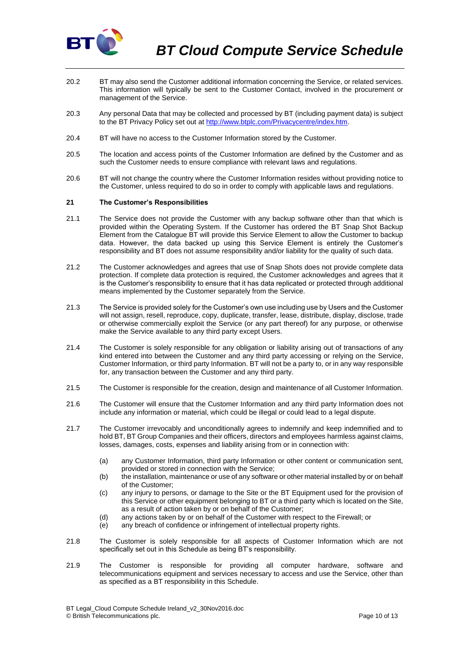

- 20.2 BT may also send the Customer additional information concerning the Service, or related services. This information will typically be sent to the Customer Contact, involved in the procurement or management of the Service.
- 20.3 Any personal Data that may be collected and processed by BT (including payment data) is subject to the BT Privacy Policy set out at [http://www.btplc.com/Privacycentre/index.htm.](http://www.btplc.com/Privacycentre/index.htm)
- 20.4 BT will have no access to the Customer Information stored by the Customer.
- 20.5 The location and access points of the Customer Information are defined by the Customer and as such the Customer needs to ensure compliance with relevant laws and regulations.
- 20.6 BT will not change the country where the Customer Information resides without providing notice to the Customer, unless required to do so in order to comply with applicable laws and regulations.

## <span id="page-9-0"></span>**21 The Customer's Responsibilities**

- 21.1 The Service does not provide the Customer with any backup software other than that which is provided within the Operating System. If the Customer has ordered the BT Snap Shot Backup Element from the Catalogue BT will provide this Service Element to allow the Customer to backup data. However, the data backed up using this Service Element is entirely the Customer's responsibility and BT does not assume responsibility and/or liability for the quality of such data.
- 21.2 The Customer acknowledges and agrees that use of Snap Shots does not provide complete data protection. If complete data protection is required, the Customer acknowledges and agrees that it is the Customer's responsibility to ensure that it has data replicated or protected through additional means implemented by the Customer separately from the Service.
- 21.3 The Service is provided solely for the Customer's own use including use by Users and the Customer will not assign, resell, reproduce, copy, duplicate, transfer, lease, distribute, display, disclose, trade or otherwise commercially exploit the Service (or any part thereof) for any purpose, or otherwise make the Service available to any third party except Users.
- 21.4 The Customer is solely responsible for any obligation or liability arising out of transactions of any kind entered into between the Customer and any third party accessing or relying on the Service, Customer Information, or third party Information. BT will not be a party to, or in any way responsible for, any transaction between the Customer and any third party.
- 21.5 The Customer is responsible for the creation, design and maintenance of all Customer Information.
- 21.6 The Customer will ensure that the Customer Information and any third party Information does not include any information or material, which could be illegal or could lead to a legal dispute.
- 21.7 The Customer irrevocably and unconditionally agrees to indemnify and keep indemnified and to hold BT, BT Group Companies and their officers, directors and employees harmless against claims, losses, damages, costs, expenses and liability arising from or in connection with:
	- (a) any Customer Information, third party Information or other content or communication sent, provided or stored in connection with the Service;
	- (b) the installation, maintenance or use of any software or other material installed by or on behalf of the Customer;
	- (c) any injury to persons, or damage to the Site or the BT Equipment used for the provision of this Service or other equipment belonging to BT or a third party which is located on the Site, as a result of action taken by or on behalf of the Customer;
	- (d) any actions taken by or on behalf of the Customer with respect to the Firewall; or
	- (e) any breach of confidence or infringement of intellectual property rights.
- 21.8 The Customer is solely responsible for all aspects of Customer Information which are not specifically set out in this Schedule as being BT's responsibility.
- 21.9 The Customer is responsible for providing all computer hardware, software and telecommunications equipment and services necessary to access and use the Service, other than as specified as a BT responsibility in this Schedule.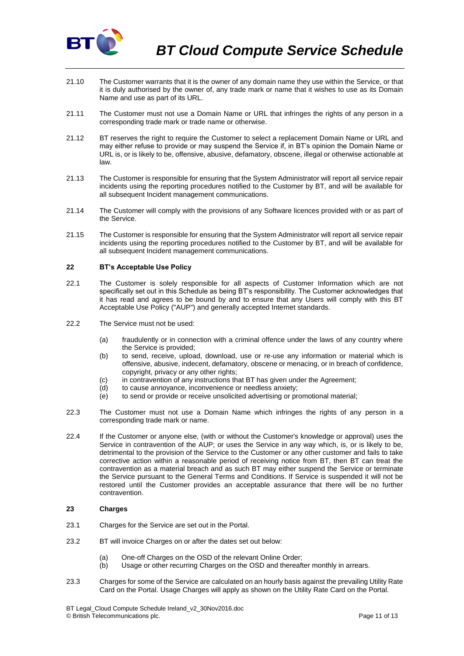

- 21.10 The Customer warrants that it is the owner of any domain name they use within the Service, or that it is duly authorised by the owner of, any trade mark or name that it wishes to use as its Domain Name and use as part of its URL.
- 21.11 The Customer must not use a Domain Name or URL that infringes the rights of any person in a corresponding trade mark or trade name or otherwise.
- 21.12 BT reserves the right to require the Customer to select a replacement Domain Name or URL and may either refuse to provide or may suspend the Service if, in BT's opinion the Domain Name or URL is, or is likely to be, offensive, abusive, defamatory, obscene, illegal or otherwise actionable at law.
- 21.13 The Customer is responsible for ensuring that the System Administrator will report all service repair incidents using the reporting procedures notified to the Customer by BT, and will be available for all subsequent Incident management communications.
- 21.14 The Customer will comply with the provisions of any Software licences provided with or as part of the Service.
- 21.15 The Customer is responsible for ensuring that the System Administrator will report all service repair incidents using the reporting procedures notified to the Customer by BT, and will be available for all subsequent Incident management communications.

# **22 BT's Acceptable Use Policy**

- 22.1 The Customer is solely responsible for all aspects of Customer Information which are not specifically set out in this Schedule as being BT's responsibility. The Customer acknowledges that it has read and agrees to be bound by and to ensure that any Users will comply with this BT Acceptable Use Policy ("AUP") and generally accepted Internet standards.
- 22.2 The Service must not be used:
	- (a) fraudulently or in connection with a criminal offence under the laws of any country where the Service is provided;
	- (b) to send, receive, upload, download, use or re-use any information or material which is offensive, abusive, indecent, defamatory, obscene or menacing, or in breach of confidence, copyright, privacy or any other rights;
	- (c) in contravention of any instructions that BT has given under the Agreement;<br>(d) to cause annoyance, inconvenience or needless anxiety;
	- to cause annoyance, inconvenience or needless anxiety;
	- $\overline{e}$  to send or provide or receive unsolicited advertising or promotional material;
- 22.3 The Customer must not use a Domain Name which infringes the rights of any person in a corresponding trade mark or name.
- 22.4 If the Customer or anyone else, (with or without the Customer's knowledge or approval) uses the Service in contravention of the AUP; or uses the Service in any way which, is, or is likely to be, detrimental to the provision of the Service to the Customer or any other customer and fails to take corrective action within a reasonable period of receiving notice from BT, then BT can treat the contravention as a material breach and as such BT may either suspend the Service or terminate the Service pursuant to the General Terms and Conditions. If Service is suspended it will not be restored until the Customer provides an acceptable assurance that there will be no further contravention.

# **23 Charges**

- 23.1 Charges for the Service are set out in the Portal.
- 23.2 BT will invoice Charges on or after the dates set out below:
	- (a) One-off Charges on the OSD of the relevant Online Order;
	- (b) Usage or other recurring Charges on the OSD and thereafter monthly in arrears.
- 23.3 Charges for some of the Service are calculated on an hourly basis against the prevailing Utility Rate Card on the Portal. Usage Charges will apply as shown on the Utility Rate Card on the Portal.

BT Legal\_Cloud Compute Schedule Ireland\_v2\_30Nov2016.doc © British Telecommunications plc. Page 11 of 13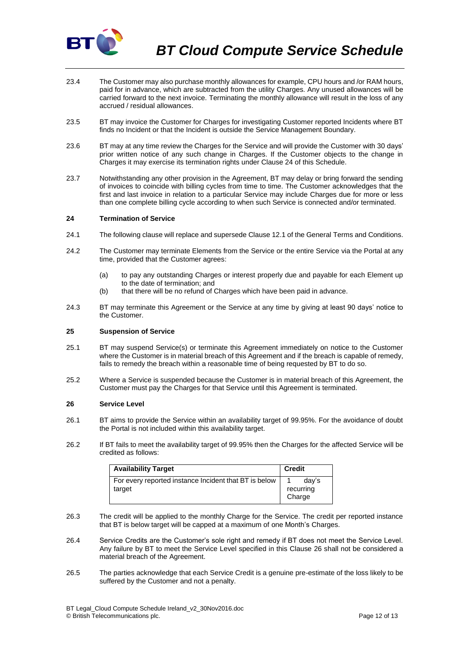

- 23.4 The Customer may also purchase monthly allowances for example, CPU hours and /or RAM hours, paid for in advance, which are subtracted from the utility Charges. Any unused allowances will be carried forward to the next invoice. Terminating the monthly allowance will result in the loss of any accrued / residual allowances.
- 23.5 BT may invoice the Customer for Charges for investigating Customer reported Incidents where BT finds no Incident or that the Incident is outside the Service Management Boundary.
- 23.6 BT may at any time review the Charges for the Service and will provide the Customer with 30 days' prior written notice of any such change in Charges. If the Customer objects to the change in Charges it may exercise its termination rights under Claus[e 24](#page-11-1) of this Schedule.
- 23.7 Notwithstanding any other provision in the Agreement, BT may delay or bring forward the sending of invoices to coincide with billing cycles from time to time. The Customer acknowledges that the first and last invoice in relation to a particular Service may include Charges due for more or less than one complete billing cycle according to when such Service is connected and/or terminated.

## <span id="page-11-1"></span>**24 Termination of Service**

- 24.1 The following clause will replace and supersede Clause 12.1 of the General Terms and Conditions.
- 24.2 The Customer may terminate Elements from the Service or the entire Service via the Portal at any time, provided that the Customer agrees:
	- (a) to pay any outstanding Charges or interest properly due and payable for each Element up to the date of termination; and
	- (b) that there will be no refund of Charges which have been paid in advance.
- 24.3 BT may terminate this Agreement or the Service at any time by giving at least 90 days' notice to the Customer.

### <span id="page-11-2"></span>**25 Suspension of Service**

- 25.1 BT may suspend Service(s) or terminate this Agreement immediately on notice to the Customer where the Customer is in material breach of this Agreement and if the breach is capable of remedy, fails to remedy the breach within a reasonable time of being requested by BT to do so.
- 25.2 Where a Service is suspended because the Customer is in material breach of this Agreement, the Customer must pay the Charges for that Service until this Agreement is terminated.

#### <span id="page-11-0"></span>**26 Service Level**

- 26.1 BT aims to provide the Service within an availability target of 99.95%. For the avoidance of doubt the Portal is not included within this availability target.
- 26.2 If BT fails to meet the availability target of 99.95% then the Charges for the affected Service will be credited as follows:

| <b>Availability Target</b>                            | <b>Credit</b> |
|-------------------------------------------------------|---------------|
| For every reported instance Incident that BT is below | dav's         |
| target                                                | recurring     |
|                                                       | Charge        |

- 26.3 The credit will be applied to the monthly Charge for the Service. The credit per reported instance that BT is below target will be capped at a maximum of one Month's Charges.
- 26.4 Service Credits are the Customer's sole right and remedy if BT does not meet the Service Level. Any failure by BT to meet the Service Level specified in this Clause [26](#page-11-0) shall not be considered a material breach of the Agreement.
- 26.5 The parties acknowledge that each Service Credit is a genuine pre-estimate of the loss likely to be suffered by the Customer and not a penalty.